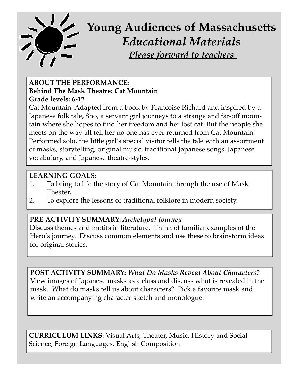

# **Young Audiences of Massachusetts** *Educational Materials Please forward to teachers*

## **ABOUT THE PERFORMANCE: Behind The Mask Theatre: Cat Mountain Grade levels: 6-12**

Cat Mountain: Adapted from a book by Francoise Richard and inspired by a Japanese folk tale, Sho, a servant girl journeys to a strange and far-off mountain where she hopes to find her freedom and her lost cat. But the people she meets on the way all tell her no one has ever returned from Cat Mountain! Performed solo, the little girl's special visitor tells the tale with an assortment of masks, storytelling, original music, traditional Japanese songs, Japanese vocabulary, and Japanese theatre-styles.

## **LEARNING GOALS:**

- 1. To bring to life the story of Cat Mountain through the use of Mask Theater.
- 2. To explore the lessons of traditional folklore in modern society.

## **PRE-ACTIVITY SUMMARY:** *Archetypal Journey*

Discuss themes and motifs in literature. Think of familiar examples of the Hero's journey. Discuss common elements and use these to brainstorm ideas for original stories.

**POST-ACTIVITY SUMMARY:** *What Do Masks Reveal About Characters?* View images of Japanese masks as a class and discuss what is revealed in the mask. What do masks tell us about characters? Pick a favorite mask and write an accompanying character sketch and monologue.

**CURRICULUM LINKS:** Visual Arts, Theater, Music, History and Social Science, Foreign Languages, English Composition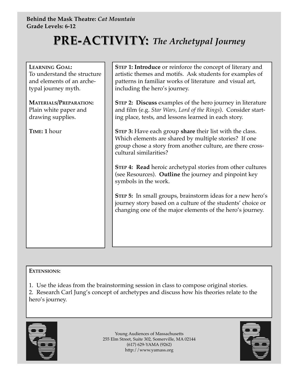# **PRE-ACTIVITY:** The Archetypal Journey

| <b>LEARNING GOAL:</b><br>To understand the structure<br>and elements of an arche-<br>typal journey myth. | STEP 1: Introduce or reinforce the concept of literary and<br>artistic themes and motifs. Ask students for examples of<br>patterns in familiar works of literature and visual art,<br>including the hero's journey. |
|----------------------------------------------------------------------------------------------------------|---------------------------------------------------------------------------------------------------------------------------------------------------------------------------------------------------------------------|
| <b>MATERIALS/PREPARATION:</b><br>Plain white paper and<br>drawing supplies.                              | <b>STEP 2: Discuss examples of the hero journey in literature</b><br>and film (e.g. Star Wars, Lord of the Rings). Consider start-<br>ing place, tests, and lessons learned in each story.                          |
| TIME: 1 hour                                                                                             | <b>STEP 3:</b> Have each group share their list with the class.<br>Which elements are shared by multiple stories? If one<br>group chose a story from another culture, are there cross-<br>cultural similarities?    |
|                                                                                                          | <b>STEP 4: Read heroic archetypal stories from other cultures</b><br>(see Resources). Outline the journey and pinpoint key<br>symbols in the work.                                                                  |
|                                                                                                          | <b>STEP 5:</b> In small groups, brainstorm ideas for a new hero's<br>journey story based on a culture of the students' choice or<br>changing one of the major elements of the hero's journey.                       |
|                                                                                                          |                                                                                                                                                                                                                     |

#### **EXTENSIONS:**

1. Use the ideas from the brainstorming session in class to compose original stories.

2. Research Carl Jung's concept of archetypes and discuss how his theories relate to the hero's journey.



Young Audiences of Massachusetts 255 Elm Street, Suite 302, Somerville, MA 02144 (617) 629-YAMA (9262) http://www.yamass.org

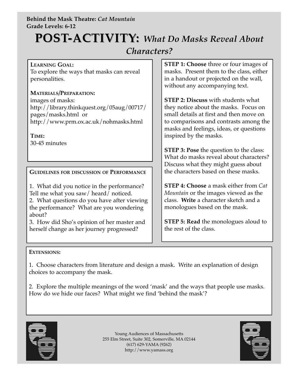#### **Behind the Mask Theatre:** *Cat Mountain* **Grade Levels: 6-12**

# **POST-ACTIVITY:** What Do Masks Reveal About

## *Characters?*

**LEARNING GOAL:** To explore the ways that masks can reveal personalities.

**MATERIALS/PREPARATION:** images of masks: http://library.thinkquest.org/05aug/00717/ pages/masks.html or http://www.prm.ox.ac.uk/nohmasks.html

**TIME:** 30-45 minutes

**GUIDELINES FOR DISCUSSION OF PERFORMANCE**

1. What did you notice in the performance? Tell me what you saw/ heard/ noticed. 2. What questions do you have after viewing the performance? What are you wondering about?

3. How did Sho's opinion of her master and herself change as her journey progressed?

**STEP 1: Choose** three or four images of masks. Present them to the class, either in a handout or projected on the wall, without any accompanying text.

**STEP 2: Discuss** with students what they notice about the masks. Focus on small details at first and then move on to comparisons and contrasts among the masks and feelings, ideas, or questions inspired by the masks.

**STEP 3: Pose** the question to the class: What do masks reveal about characters? Discuss what they might guess about the characters based on these masks.

**STEP 4: Choose** a mask either from *Cat Mountain* or the images viewed as the class. **Write** a character sketch and a monologues based on the mask.

**STEP 5: Read** the monologues aloud to the rest of the class.

#### **EXTENSIONS:**

1. Choose characters from literature and design a mask. Write an explanation of design choices to accompany the mask.

2. Explore the multiple meanings of the word 'mask' and the ways that people use masks. How do we hide our faces? What might we find 'behind the mask'?



Young Audiences of Massachusetts 255 Elm Street, Suite 302, Somerville, MA 02144 (617) 629-YAMA (9262) http://www.yamass.org

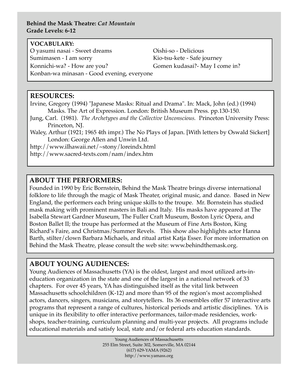#### **Behind the Mask Theatre:** *Cat Mountain* **Grade Levels: 6-12**

#### **VOCABULARY:**

O yasumi nasai - Sweet dreams Oishi-so - Delicious Sumimasen - I am sorry Kio-tsu-kete - Safe journey Konnichi-wa? - How are you? Gomen kudasai?- May I come in? Konban-wa minasan - Good evening, everyone

#### **RESOURCES:**

Irvine, Gregory (1994) "Japanese Masks: Ritual and Drama". In: Mack, John (ed.) (1994) Masks. The Art of Expression. London: British Museum Press. pp.130-150.

- Jung, Carl. (1981). *The Archetypes and the Collective Unconscious.* Princeton University Press: Princeton, NJ.
- Waley, Arthur (1921; 1965 4th impr.) The No Plays of Japan. [With letters by Oswald Sickert] London: George Allen and Unwin Ltd.

http://www.ilhawaii.net/~stony/loreindx.html

http://www.sacred-texts.com/nam/index.htm

#### **ABOUT THE PERFORMERS:**

Founded in 1990 by Eric Bornstein, Behind the Mask Theatre brings diverse international folklore to life through the magic of Mask Theater, original music, and dance. Based in New England, the performers each bring unique skills to the troupe. Mr. Bornstein has studied mask making with prominent masters in Bali and Italy. His masks have appeared at The Isabella Stewart Gardner Museum, The Fuller Craft Museum, Boston Lyric Opera, and Boston Ballet II; the troupe has performed at the Museum of Fine Arts Boston, King Richard's Faire, and Christmas/Summer Revels. This show also highlights actor Hanna Barth, stilter/clown Barbara Michaels, and ritual artist Katja Esser. For more information on Behind the Mask Theatre, please consult the web site: www.behindthemask.org.

#### **ABOUT YOUNG AUDIENCES:**

Young Audiences of Massachusetts (YA) is the oldest, largest and most utilized arts-ineducation organization in the state and one of the largest in a national network of 33 chapters. For over 45 years, YA has distinguished itself as the vital link between Massachusetts schoolchildren (K-12) and more than 95 of the region's most accomplished actors, dancers, singers, musicians, and storytellers. Its 36 ensembles offer 57 interactive arts programs that represent a range of cultures, historical periods and artistic disciplines. YA is unique in its flexibility to offer interactive performances, tailor-made residencies, workshops, teacher-training, curriculum planning and multi-year projects. All programs include educational materials and satisfy local, state and/or federal arts education standards.

> Young Audiences of Massachusetts 255 Elm Street, Suite 302, Somerville, MA 02144 (617) 629-YAMA (9262) http://www.yamass.org